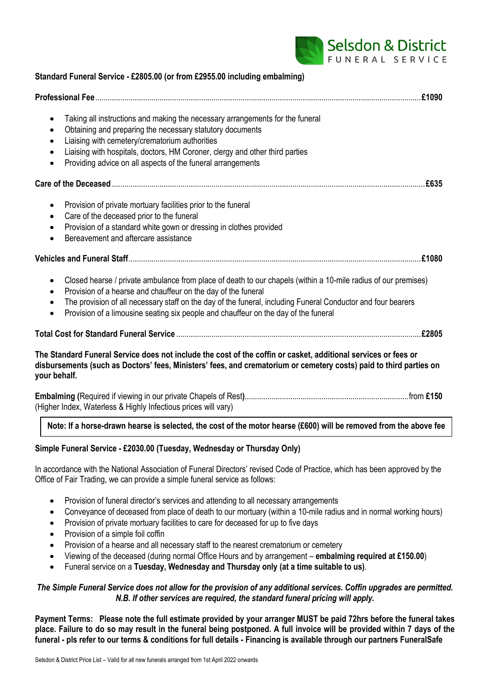

| Standard Funeral Service - £2805.00 (or from £2955.00 including embalming)                                                                                                                                                                                                                                                                                                                                                         |
|------------------------------------------------------------------------------------------------------------------------------------------------------------------------------------------------------------------------------------------------------------------------------------------------------------------------------------------------------------------------------------------------------------------------------------|
|                                                                                                                                                                                                                                                                                                                                                                                                                                    |
| Taking all instructions and making the necessary arrangements for the funeral<br>$\bullet$<br>Obtaining and preparing the necessary statutory documents<br>$\bullet$<br>Liaising with cemetery/crematorium authorities<br>٠<br>Liaising with hospitals, doctors, HM Coroner, clergy and other third parties<br>$\bullet$<br>Providing advice on all aspects of the funeral arrangements<br>$\bullet$                               |
|                                                                                                                                                                                                                                                                                                                                                                                                                                    |
| Provision of private mortuary facilities prior to the funeral<br>$\bullet$<br>Care of the deceased prior to the funeral<br>$\bullet$<br>Provision of a standard white gown or dressing in clothes provided<br>$\bullet$<br>Bereavement and aftercare assistance<br>$\bullet$                                                                                                                                                       |
|                                                                                                                                                                                                                                                                                                                                                                                                                                    |
| Closed hearse / private ambulance from place of death to our chapels (within a 10-mile radius of our premises)<br>$\bullet$<br>Provision of a hearse and chauffeur on the day of the funeral<br>$\bullet$<br>The provision of all necessary staff on the day of the funeral, including Funeral Conductor and four bearers<br>٠<br>Provision of a limousine seating six people and chauffeur on the day of the funeral<br>$\bullet$ |
|                                                                                                                                                                                                                                                                                                                                                                                                                                    |
| The Standard Funeral Service does not include the cost of the coffin or casket, additional services or fees or<br>disbursements (such as Doctors' fees, Ministers' fees, and crematorium or cemetery costs) paid to third parties on<br>your behalf.                                                                                                                                                                               |
| (Higher Index, Waterless & Highly Infectious prices will vary)                                                                                                                                                                                                                                                                                                                                                                     |

### **Note: If a horse-drawn hearse is selected, the cost of the motor hearse (£600) will be removed from the above fee**

### **Simple Funeral Service - £2030.00 (Tuesday, Wednesday or Thursday Only)**

In accordance with the National Association of Funeral Directors' revised Code of Practice, which has been approved by the Office of Fair Trading, we can provide a simple funeral service as follows:

- Provision of funeral director's services and attending to all necessary arrangements
- Conveyance of deceased from place of death to our mortuary (within a 10-mile radius and in normal working hours)
- Provision of private mortuary facilities to care for deceased for up to five days
- Provision of a simple foil coffin
- Provision of a hearse and all necessary staff to the nearest crematorium or cemetery
- Viewing of the deceased (during normal Office Hours and by arrangement **embalming required at £150.00**)
- Funeral service on a **Tuesday, Wednesday and Thursday only (at a time suitable to us)**.

### *The Simple Funeral Service does not allow for the provision of any additional services. Coffin upgrades are permitted. N.B. If other services are required, the standard funeral pricing will apply.*

**Payment Terms: Please note the full estimate provided by your arranger MUST be paid 72hrs before the funeral takes place. Failure to do so may result in the funeral being postponed. A full invoice will be provided within 7 days of the funeral - pls refer to our terms & conditions for full details - Financing is available through our partners FuneralSafe**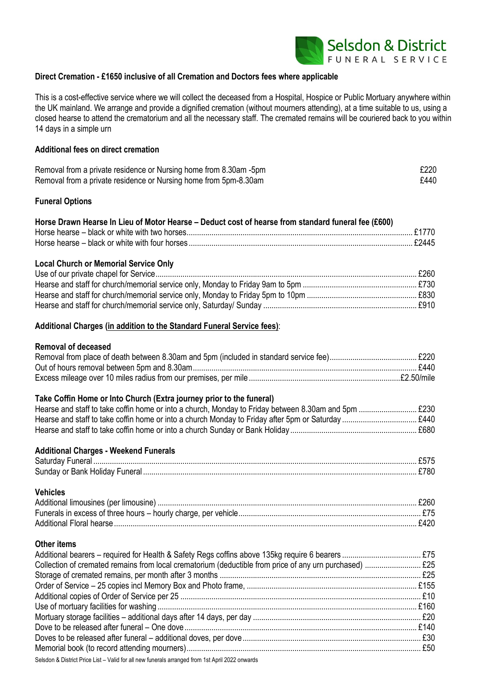

### **Direct Cremation - £1650 inclusive of all Cremation and Doctors fees where applicable**

This is a cost-effective service where we will collect the deceased from a Hospital, Hospice or Public Mortuary anywhere within the UK mainland. We arrange and provide a dignified cremation (without mourners attending), at a time suitable to us, using a closed hearse to attend the crematorium and all the necessary staff. The cremated remains will be couriered back to you within 14 days in a simple urn

### **Additional fees on direct cremation**

| Removal from a private residence or Nursing home from 8.30am -5pm | £220 |
|-------------------------------------------------------------------|------|
| Removal from a private residence or Nursing home from 5pm-8.30am  | £440 |

#### **Funeral Options**

| Horse Drawn Hearse In Lieu of Motor Hearse - Deduct cost of hearse from standard funeral fee (£600) |  |
|-----------------------------------------------------------------------------------------------------|--|
|                                                                                                     |  |
|                                                                                                     |  |

#### **Local Church or Memorial Service Only**

#### **Additional Charges (in addition to the Standard Funeral Service fees)**:

### **Removal of deceased**

#### **Take Coffin Home or Into Church (Extra journey prior to the funeral)**

| . £680. |
|---------|

### **Additional Charges - Weekend Funerals**

| Sunday or Bank Holiday Funeral. |  |
|---------------------------------|--|

# **Vehicles** Additional limousines (per limousine) ............................................................................................................................. £260

#### **Other items**

| Selsdon & District Price List - Valid for all new funerals arranged from 1st April 2022 onwards |  |
|-------------------------------------------------------------------------------------------------|--|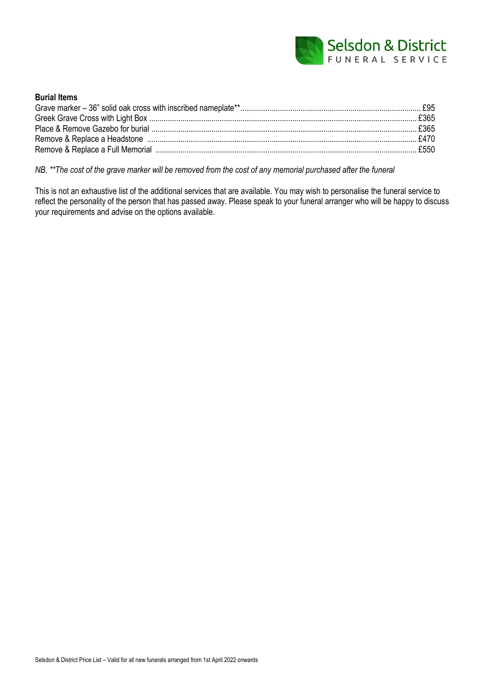

| <b>Burial Items</b> |  |
|---------------------|--|
|                     |  |
|                     |  |
|                     |  |
|                     |  |
|                     |  |

*NB. \*\*The cost of the grave marker will be removed from the cost of any memorial purchased after the funeral*

This is not an exhaustive list of the additional services that are available. You may wish to personalise the funeral service to reflect the personality of the person that has passed away. Please speak to your funeral arranger who will be happy to discuss your requirements and advise on the options available.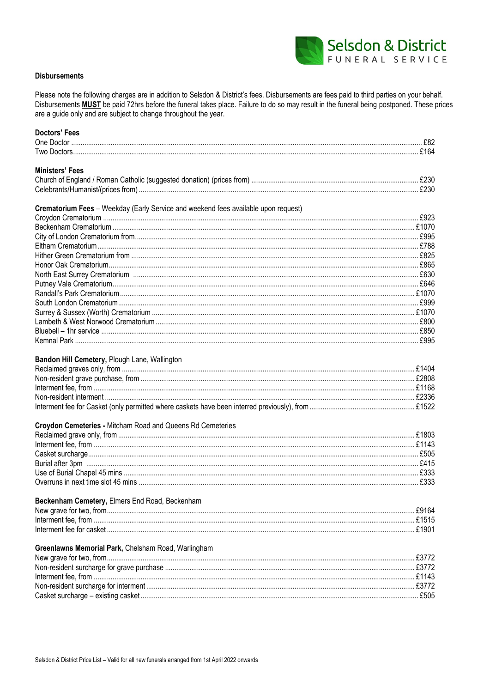

### **Disbursements**

Please note the following charges are in addition to Selsdon & District's fees. Disbursements are fees paid to third parties on your behalf. Disbursements **MUST** be paid 72hrs before the funeral takes place. Failure to do so may result in the funeral being postponed. These prices are a guide only and are subject to change throughout the year.

| <b>Doctors' Fees</b>                                                               |      |
|------------------------------------------------------------------------------------|------|
|                                                                                    |      |
|                                                                                    |      |
| <b>Ministers' Fees</b>                                                             |      |
|                                                                                    |      |
|                                                                                    |      |
|                                                                                    |      |
| Crematorium Fees - Weekday (Early Service and weekend fees available upon request) |      |
|                                                                                    |      |
|                                                                                    |      |
|                                                                                    |      |
|                                                                                    |      |
|                                                                                    |      |
|                                                                                    |      |
|                                                                                    |      |
|                                                                                    |      |
|                                                                                    |      |
|                                                                                    |      |
|                                                                                    |      |
|                                                                                    |      |
|                                                                                    |      |
|                                                                                    |      |
|                                                                                    |      |
| Bandon Hill Cemetery, Plough Lane, Wallington                                      |      |
|                                                                                    |      |
|                                                                                    |      |
|                                                                                    |      |
|                                                                                    |      |
|                                                                                    |      |
| Croydon Cemeteries - Mitcham Road and Queens Rd Cemeteries                         |      |
|                                                                                    |      |
|                                                                                    |      |
|                                                                                    |      |
|                                                                                    |      |
|                                                                                    |      |
|                                                                                    |      |
|                                                                                    |      |
| Beckenham Cemetery, Elmers End Road, Beckenham                                     |      |
|                                                                                    |      |
|                                                                                    |      |
|                                                                                    |      |
|                                                                                    |      |
| Greenlawns Memorial Park, Chelsham Road, Warlingham                                |      |
|                                                                                    |      |
|                                                                                    |      |
|                                                                                    |      |
|                                                                                    |      |
|                                                                                    | £505 |
|                                                                                    |      |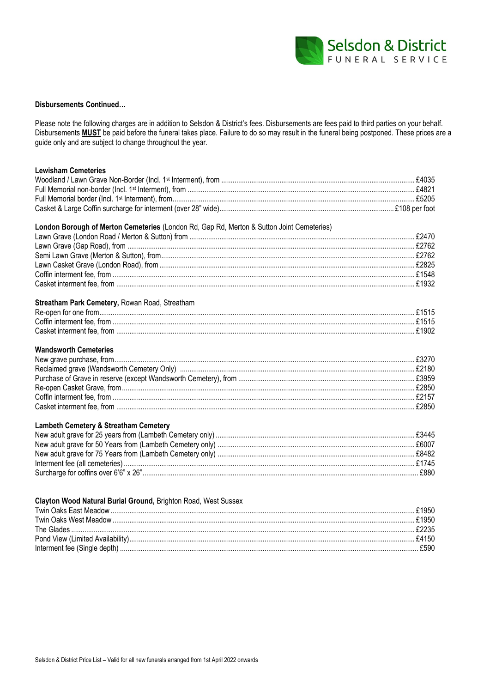

#### **Disbursements Continued...**

Please note the following charges are in addition to Selsdon & District's fees. Disbursements are fees paid to third parties on your behalf. Disbursements MUST be paid before the funeral takes place. Failure to do so may result in the funeral being postponed. These prices are a guide only and are subject to change throughout the year.

## **Lewisham Cemeteries** London Borough of Merton Cemeteries (London Rd, Gap Rd, Merton & Sutton Joint Cemeteries) Streatham Park Cemetery, Rowan Road, Streatham **Wandsworth Cemeteries Lambeth Cemetery & Streatham Cemetery**

### Clayton Wood Natural Burial Ground, Brighton Road, West Sussex

| .F4150 |
|--------|
| £590   |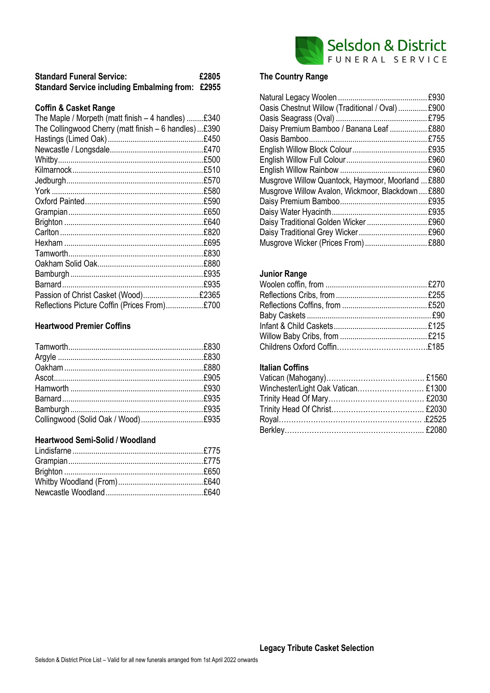

| <b>Standard Funeral Service:</b>                        | £2805 |
|---------------------------------------------------------|-------|
| <b>Standard Service including Embalming from: £2955</b> |       |

### **Coffin & Casket Range**

| The Maple / Morpeth (matt finish $-4$ handles) $£340$ |      |
|-------------------------------------------------------|------|
| The Collingwood Cherry (matt finish - 6 handles)£390  |      |
|                                                       |      |
|                                                       |      |
|                                                       |      |
|                                                       |      |
|                                                       |      |
|                                                       |      |
|                                                       | £590 |
|                                                       | £650 |
|                                                       | £640 |
|                                                       | £820 |
|                                                       | £695 |
|                                                       | £830 |
|                                                       | £880 |
|                                                       | £935 |
|                                                       | £935 |
| Passion of Christ Casket (Wood)£2365                  |      |
| Reflections Picture Coffin (Prices From)£700          |      |

### **Heartwood Premier Coffins**

## **Heartwood Semi-Solid / Woodland**

## **The Country Range**

| Oasis Chestnut Willow (Traditional / Oval)  £900  |
|---------------------------------------------------|
|                                                   |
| Daisy Premium Bamboo / Banana Leaf  £880          |
|                                                   |
|                                                   |
|                                                   |
|                                                   |
| Musgrove Willow Quantock, Haymoor, Moorland  £880 |
| Musgrove Willow Avalon, Wickmoor, Blackdown£880   |
|                                                   |
|                                                   |
|                                                   |
|                                                   |
| Musgrove Wicker (Prices From)  £880               |
|                                                   |

### **Junior Range**

## **Italian Coffins**